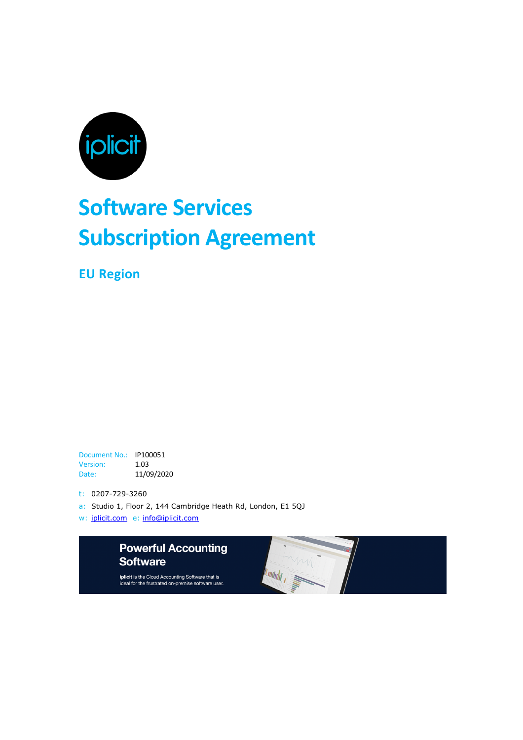

# **Software Services Subscription Agreement**

**EU Region**

Document No.: IP100051 Version: 1.03 Date: 11/09/2020

t: 0207-729-3260

- a: Studio 1, Floor 2, 144 Cambridge Heath Rd, London, E1 5QJ
- w: iplicit.com e: info@iplicit.com



iplicit is the Cloud Accounting Software that is<br>ideal for the frustrated on-premise software user.

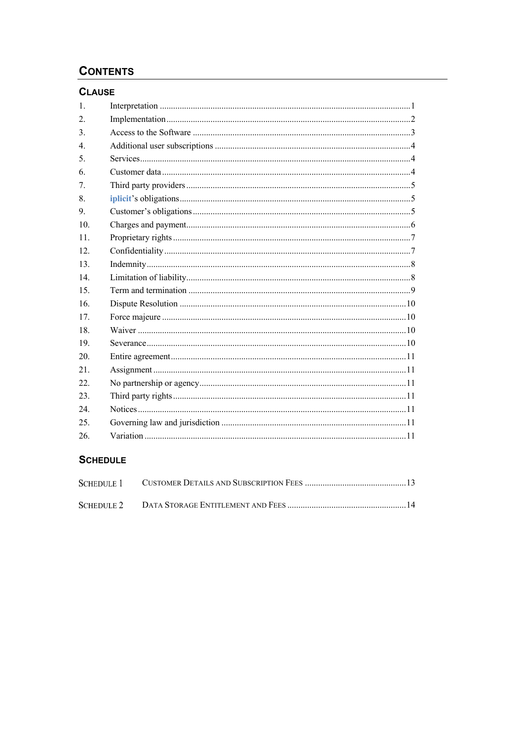# **CONTENTS**

# **CLAUSE**

| 1.               |  |
|------------------|--|
| 2.               |  |
| 3.               |  |
| $\overline{4}$ . |  |
| 5.               |  |
| 6.               |  |
| 7.               |  |
| 8.               |  |
| 9.               |  |
| 10.              |  |
| 11.              |  |
| 12.              |  |
| 13.              |  |
| 14               |  |
| 15.              |  |
| 16.              |  |
| 17.              |  |
| 18.              |  |
| 19.              |  |
| 20.              |  |
| 21.              |  |
| 22.              |  |
| 23.              |  |
| 24.              |  |
| 25.              |  |
| 26.              |  |
|                  |  |

# **SCHEDULE**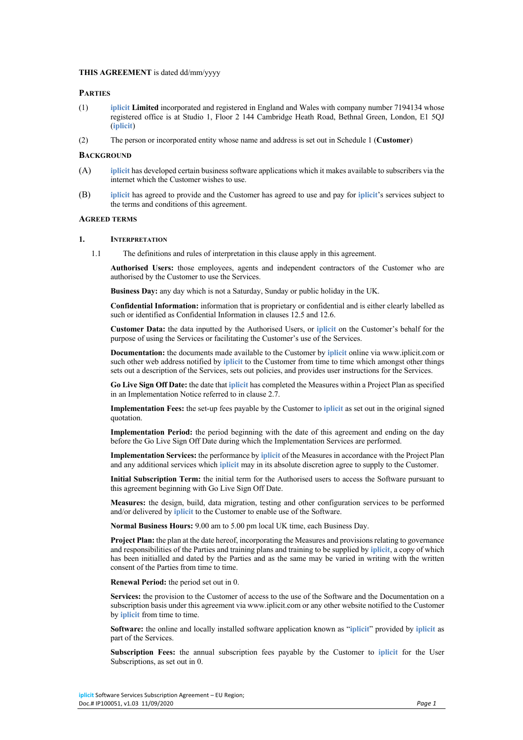# **THIS AGREEMENT** is dated dd/mm/yyyy

# **PARTIES**

- (1) **iplicit Limited** incorporated and registered in England and Wales with company number 7194134 whose registered office is at Studio 1, Floor 2 144 Cambridge Heath Road, Bethnal Green, London, E1 5QJ (**iplicit**)
- (2) The person or incorporated entity whose name and address is set out in Schedule 1 (**Customer**)

#### **BACKGROUND**

- (A) **iplicit** has developed certain business software applications which it makes available to subscribers via the internet which the Customer wishes to use.
- (B) **iplicit** has agreed to provide and the Customer has agreed to use and pay for **iplicit**'s services subject to the terms and conditions of this agreement.

#### **AGREED TERMS**

#### **1. INTERPRETATION**

1.1 The definitions and rules of interpretation in this clause apply in this agreement.

**Authorised Users:** those employees, agents and independent contractors of the Customer who are authorised by the Customer to use the Services.

**Business Day:** any day which is not a Saturday, Sunday or public holiday in the UK.

**Confidential Information:** information that is proprietary or confidential and is either clearly labelled as such or identified as Confidential Information in clauses 12.5 and 12.6.

**Customer Data:** the data inputted by the Authorised Users, or **iplicit** on the Customer's behalf for the purpose of using the Services or facilitating the Customer's use of the Services.

**Documentation:** the documents made available to the Customer by **iplicit** online via www.iplicit.com or such other web address notified by **iplicit** to the Customer from time to time which amongst other things sets out a description of the Services, sets out policies, and provides user instructions for the Services.

**Go Live Sign Off Date:** the date that **iplicit** has completed the Measures within a Project Plan as specified in an Implementation Notice referred to in clause 2.7.

**Implementation Fees:** the set-up fees payable by the Customer to **iplicit** as set out in the original signed quotation.

**Implementation Period:** the period beginning with the date of this agreement and ending on the day before the Go Live Sign Off Date during which the Implementation Services are performed.

**Implementation Services:** the performance by **iplicit** of the Measures in accordance with the Project Plan and any additional services which **iplicit** may in its absolute discretion agree to supply to the Customer.

**Initial Subscription Term:** the initial term for the Authorised users to access the Software pursuant to this agreement beginning with Go Live Sign Off Date.

**Measures:** the design, build, data migration, testing and other configuration services to be performed and/or delivered by **iplicit** to the Customer to enable use of the Software.

**Normal Business Hours:** 9.00 am to 5.00 pm local UK time, each Business Day.

**Project Plan:** the plan at the date hereof, incorporating the Measures and provisions relating to governance and responsibilities of the Parties and training plans and training to be supplied by **iplicit**, a copy of which has been initialled and dated by the Parties and as the same may be varied in writing with the written consent of the Parties from time to time.

**Renewal Period:** the period set out in 0.

**Services:** the provision to the Customer of access to the use of the Software and the Documentation on a subscription basis under this agreement via www.iplicit.com or any other website notified to the Customer by **iplicit** from time to time.

**Software:** the online and locally installed software application known as "**iplicit**" provided by **iplicit** as part of the Services.

**Subscription Fees:** the annual subscription fees payable by the Customer to **iplicit** for the User Subscriptions, as set out in 0.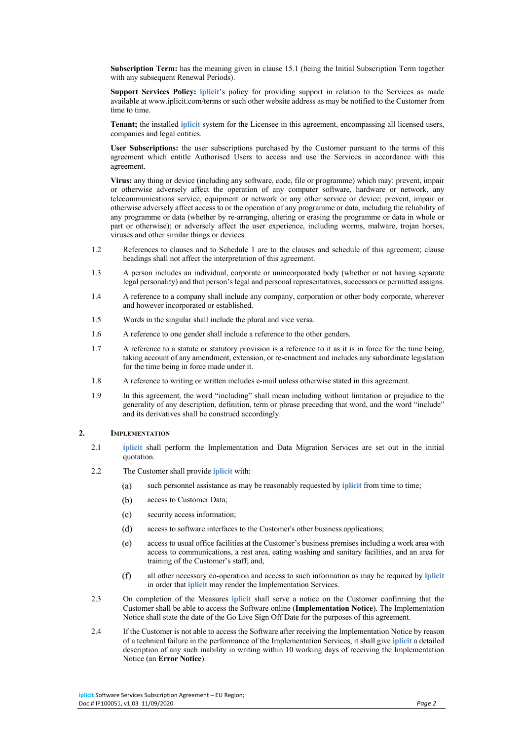**Subscription Term:** has the meaning given in clause 15.1 (being the Initial Subscription Term together with any subsequent Renewal Periods).

**Support Services Policy: iplicit**'s policy for providing support in relation to the Services as made available at www.iplicit.com/terms or such other website address as may be notified to the Customer from time to time.

**Tenant;** the installed **iplicit** system for the Licensee in this agreement, encompassing all licensed users, companies and legal entities.

**User Subscriptions:** the user subscriptions purchased by the Customer pursuant to the terms of this agreement which entitle Authorised Users to access and use the Services in accordance with this agreement.

**Virus:** any thing or device (including any software, code, file or programme) which may: prevent, impair or otherwise adversely affect the operation of any computer software, hardware or network, any telecommunications service, equipment or network or any other service or device; prevent, impair or otherwise adversely affect access to or the operation of any programme or data, including the reliability of any programme or data (whether by re-arranging, altering or erasing the programme or data in whole or part or otherwise); or adversely affect the user experience, including worms, malware, trojan horses, viruses and other similar things or devices.

- 1.2 References to clauses and to Schedule 1 are to the clauses and schedule of this agreement; clause headings shall not affect the interpretation of this agreement.
- 1.3 A person includes an individual, corporate or unincorporated body (whether or not having separate legal personality) and that person's legal and personal representatives, successors or permitted assigns.
- 1.4 A reference to a company shall include any company, corporation or other body corporate, wherever and however incorporated or established.
- 1.5 Words in the singular shall include the plural and vice versa.
- 1.6 A reference to one gender shall include a reference to the other genders.
- 1.7 A reference to a statute or statutory provision is a reference to it as it is in force for the time being, taking account of any amendment, extension, or re-enactment and includes any subordinate legislation for the time being in force made under it.
- 1.8 A reference to writing or written includes e-mail unless otherwise stated in this agreement.
- 1.9 In this agreement, the word "including" shall mean including without limitation or prejudice to the generality of any description, definition, term or phrase preceding that word, and the word "include" and its derivatives shall be construed accordingly.

## **2. IMPLEMENTATION**

- 2.1 **iplicit** shall perform the Implementation and Data Migration Services are set out in the initial quotation.
- 2.2 The Customer shall provide **iplicit** with:
	- $(a)$ such personnel assistance as may be reasonably requested by **iplicit** from time to time;
	- $(b)$ access to Customer Data;
	- $(c)$ security access information;
	- $(d)$ access to software interfaces to the Customer's other business applications;
	- $(e)$ access to usual office facilities at the Customer's business premises including a work area with access to communications, a rest area, eating washing and sanitary facilities, and an area for training of the Customer's staff; and,
	- $(f)$ all other necessary co-operation and access to such information as may be required by **iplicit** in order that **iplicit** may render the Implementation Services.
- 2.3 On completion of the Measures **iplicit** shall serve a notice on the Customer confirming that the Customer shall be able to access the Software online (**Implementation Notice**). The Implementation Notice shall state the date of the Go Live Sign Off Date for the purposes of this agreement.
- 2.4 If the Customer is not able to access the Software after receiving the Implementation Notice by reason of a technical failure in the performance of the Implementation Services, it shall give **iplicit** a detailed description of any such inability in writing within 10 working days of receiving the Implementation Notice (an **Error Notice**).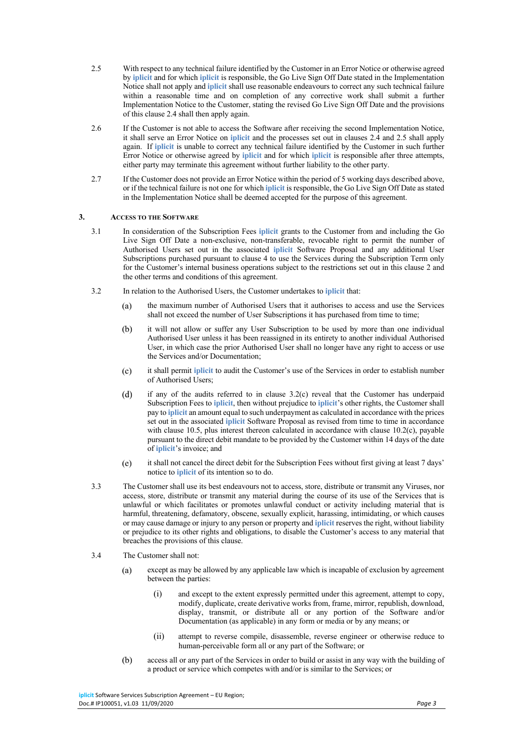- 2.5 With respect to any technical failure identified by the Customer in an Error Notice or otherwise agreed by **iplicit** and for which **iplicit** is responsible, the Go Live Sign Off Date stated in the Implementation Notice shall not apply and **iplicit** shall use reasonable endeavours to correct any such technical failure within a reasonable time and on completion of any corrective work shall submit a further Implementation Notice to the Customer, stating the revised Go Live Sign Off Date and the provisions of this clause 2.4 shall then apply again.
- 2.6 If the Customer is not able to access the Software after receiving the second Implementation Notice, it shall serve an Error Notice on **iplicit** and the processes set out in clauses 2.4 and 2.5 shall apply again. If **iplicit** is unable to correct any technical failure identified by the Customer in such further Error Notice or otherwise agreed by **iplicit** and for which **iplicit** is responsible after three attempts, either party may terminate this agreement without further liability to the other party.
- 2.7 If the Customer does not provide an Error Notice within the period of 5 working days described above, or if the technical failure is not one for which **iplicit** is responsible, the Go Live Sign Off Date as stated in the Implementation Notice shall be deemed accepted for the purpose of this agreement.

# **3. ACCESS TO THE SOFTWARE**

- 3.1 In consideration of the Subscription Fees **iplicit** grants to the Customer from and including the Go Live Sign Off Date a non-exclusive, non-transferable, revocable right to permit the number of Authorised Users set out in the associated **iplicit** Software Proposal and any additional User Subscriptions purchased pursuant to clause 4 to use the Services during the Subscription Term only for the Customer's internal business operations subject to the restrictions set out in this clause 2 and the other terms and conditions of this agreement.
- 3.2 In relation to the Authorised Users, the Customer undertakes to **iplicit** that:
	- the maximum number of Authorised Users that it authorises to access and use the Services  $(a)$ shall not exceed the number of User Subscriptions it has purchased from time to time;
	- it will not allow or suffer any User Subscription to be used by more than one individual  $(b)$ Authorised User unless it has been reassigned in its entirety to another individual Authorised User, in which case the prior Authorised User shall no longer have any right to access or use the Services and/or Documentation;
	- it shall permit **iplicit** to audit the Customer's use of the Services in order to establish number  $(c)$ of Authorised Users;
	- if any of the audits referred to in clause 3.2(c) reveal that the Customer has underpaid  $(d)$ Subscription Fees to **iplicit**, then without prejudice to **iplicit**'s other rights, the Customer shall pay to **iplicit** an amount equal to such underpayment as calculated in accordance with the prices set out in the associated **iplicit** Software Proposal as revised from time to time in accordance with clause 10.5, plus interest thereon calculated in accordance with clause 10.2(c), payable pursuant to the direct debit mandate to be provided by the Customer within 14 days of the date of **iplicit**'s invoice; and
	- $(e)$ it shall not cancel the direct debit for the Subscription Fees without first giving at least 7 days' notice to **iplicit** of its intention so to do.
- 3.3 The Customer shall use its best endeavours not to access, store, distribute or transmit any Viruses, nor access, store, distribute or transmit any material during the course of its use of the Services that is unlawful or which facilitates or promotes unlawful conduct or activity including material that is harmful, threatening, defamatory, obscene, sexually explicit, harassing, intimidating, or which causes or may cause damage or injury to any person or property and **iplicit** reserves the right, without liability or prejudice to its other rights and obligations, to disable the Customer's access to any material that breaches the provisions of this clause.
- 3.4 The Customer shall not:
	- $(a)$ except as may be allowed by any applicable law which is incapable of exclusion by agreement between the parties:
		- (i) and except to the extent expressly permitted under this agreement, attempt to copy, modify, duplicate, create derivative works from, frame, mirror, republish, download, display, transmit, or distribute all or any portion of the Software and/or Documentation (as applicable) in any form or media or by any means; or
		- (ii) attempt to reverse compile, disassemble, reverse engineer or otherwise reduce to human-perceivable form all or any part of the Software; or
	- $(b)$ access all or any part of the Services in order to build or assist in any way with the building of a product or service which competes with and/or is similar to the Services; or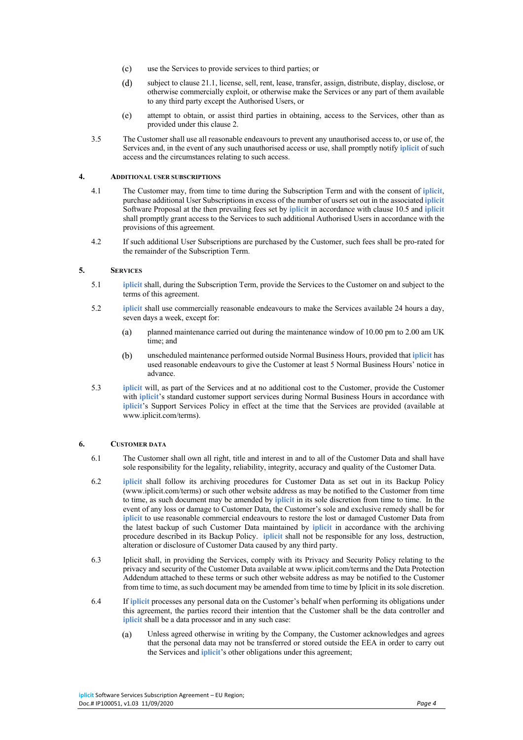- $(c)$ use the Services to provide services to third parties; or
- $(d)$ subject to clause 21.1, license, sell, rent, lease, transfer, assign, distribute, display, disclose, or otherwise commercially exploit, or otherwise make the Services or any part of them available to any third party except the Authorised Users, or
- $(e)$ attempt to obtain, or assist third parties in obtaining, access to the Services, other than as provided under this clause 2.
- 3.5 The Customer shall use all reasonable endeavours to prevent any unauthorised access to, or use of, the Services and, in the event of any such unauthorised access or use, shall promptly notify **iplicit** of such access and the circumstances relating to such access.

# **4. ADDITIONAL USER SUBSCRIPTIONS**

- 4.1 The Customer may, from time to time during the Subscription Term and with the consent of **iplicit**, purchase additional User Subscriptions in excess of the number of users set out in the associated **iplicit** Software Proposal at the then prevailing fees set by **iplicit** in accordance with clause 10.5 and **iplicit** shall promptly grant access to the Services to such additional Authorised Users in accordance with the provisions of this agreement.
- 4.2 If such additional User Subscriptions are purchased by the Customer, such fees shall be pro-rated for the remainder of the Subscription Term.

# **5. SERVICES**

- 5.1 **iplicit** shall, during the Subscription Term, provide the Services to the Customer on and subject to the terms of this agreement.
- 5.2 **iplicit** shall use commercially reasonable endeavours to make the Services available 24 hours a day, seven days a week, except for:
	- planned maintenance carried out during the maintenance window of 10.00 pm to 2.00 am UK  $(a)$ time; and
	- unscheduled maintenance performed outside Normal Business Hours, provided that **iplicit** has  $(b)$ used reasonable endeavours to give the Customer at least 5 Normal Business Hours' notice in advance.
- 5.3 **iplicit** will, as part of the Services and at no additional cost to the Customer, provide the Customer with **iplicit**'s standard customer support services during Normal Business Hours in accordance with **iplicit**'s Support Services Policy in effect at the time that the Services are provided (available at www.iplicit.com/terms).

# **6. CUSTOMER DATA**

- 6.1 The Customer shall own all right, title and interest in and to all of the Customer Data and shall have sole responsibility for the legality, reliability, integrity, accuracy and quality of the Customer Data.
- 6.2 **iplicit** shall follow its archiving procedures for Customer Data as set out in its Backup Policy (www.iplicit.com/terms) or such other website address as may be notified to the Customer from time to time, as such document may be amended by **iplicit** in its sole discretion from time to time. In the event of any loss or damage to Customer Data, the Customer's sole and exclusive remedy shall be for **iplicit** to use reasonable commercial endeavours to restore the lost or damaged Customer Data from the latest backup of such Customer Data maintained by **iplicit** in accordance with the archiving procedure described in its Backup Policy. **iplicit** shall not be responsible for any loss, destruction, alteration or disclosure of Customer Data caused by any third party.
- 6.3 Iplicit shall, in providing the Services, comply with its Privacy and Security Policy relating to the privacy and security of the Customer Data available at www.iplicit.com/terms and the Data Protection Addendum attached to these terms or such other website address as may be notified to the Customer from time to time, as such document may be amended from time to time by Iplicit in its sole discretion.
- 6.4 If **iplicit** processes any personal data on the Customer's behalf when performing its obligations under this agreement, the parties record their intention that the Customer shall be the data controller and **iplicit** shall be a data processor and in any such case:
	- $(a)$ Unless agreed otherwise in writing by the Company, the Customer acknowledges and agrees that the personal data may not be transferred or stored outside the EEA in order to carry out the Services and **iplicit**'s other obligations under this agreement;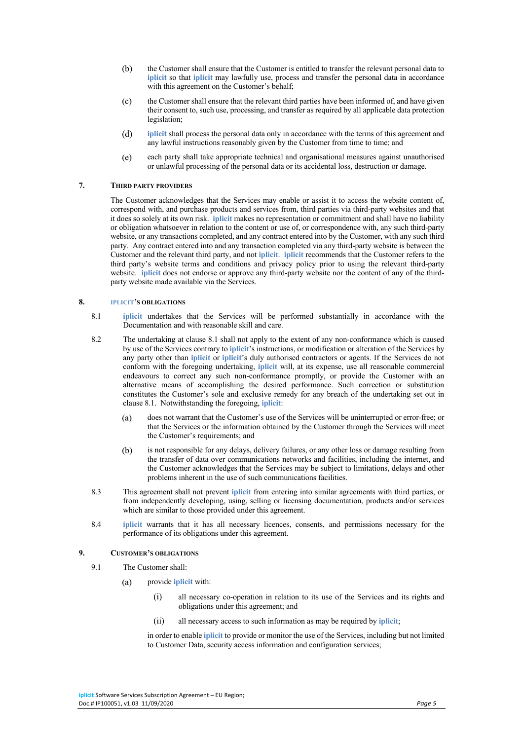- $(b)$ the Customer shall ensure that the Customer is entitled to transfer the relevant personal data to **iplicit** so that **iplicit** may lawfully use, process and transfer the personal data in accordance with this agreement on the Customer's behalf;
- $(c)$ the Customer shall ensure that the relevant third parties have been informed of, and have given their consent to, such use, processing, and transfer as required by all applicable data protection legislation;
- $(d)$ **iplicit** shall process the personal data only in accordance with the terms of this agreement and any lawful instructions reasonably given by the Customer from time to time; and
- $(e)$ each party shall take appropriate technical and organisational measures against unauthorised or unlawful processing of the personal data or its accidental loss, destruction or damage.

## **7. THIRD PARTY PROVIDERS**

The Customer acknowledges that the Services may enable or assist it to access the website content of, correspond with, and purchase products and services from, third parties via third-party websites and that it does so solely at its own risk. **iplicit** makes no representation or commitment and shall have no liability or obligation whatsoever in relation to the content or use of, or correspondence with, any such third-party website, or any transactions completed, and any contract entered into by the Customer, with any such third party. Any contract entered into and any transaction completed via any third-party website is between the Customer and the relevant third party, and not **iplicit**. **iplicit** recommends that the Customer refers to the third party's website terms and conditions and privacy policy prior to using the relevant third-party website. **iplicit** does not endorse or approve any third-party website nor the content of any of the thirdparty website made available via the Services.

#### **8. IPLICIT'S OBLIGATIONS**

- 8.1 **iplicit** undertakes that the Services will be performed substantially in accordance with the Documentation and with reasonable skill and care.
- 8.2 The undertaking at clause 8.1 shall not apply to the extent of any non-conformance which is caused by use of the Services contrary to **iplicit**'s instructions, or modification or alteration of the Services by any party other than **iplicit** or **iplicit**'s duly authorised contractors or agents. If the Services do not conform with the foregoing undertaking, **iplicit** will, at its expense, use all reasonable commercial endeavours to correct any such non-conformance promptly, or provide the Customer with an alternative means of accomplishing the desired performance. Such correction or substitution constitutes the Customer's sole and exclusive remedy for any breach of the undertaking set out in clause 8.1. Notwithstanding the foregoing, **iplicit**:
	- does not warrant that the Customer's use of the Services will be uninterrupted or error-free; or  $(a)$ that the Services or the information obtained by the Customer through the Services will meet the Customer's requirements; and
	- $(b)$ is not responsible for any delays, delivery failures, or any other loss or damage resulting from the transfer of data over communications networks and facilities, including the internet, and the Customer acknowledges that the Services may be subject to limitations, delays and other problems inherent in the use of such communications facilities.
- 8.3 This agreement shall not prevent **iplicit** from entering into similar agreements with third parties, or from independently developing, using, selling or licensing documentation, products and/or services which are similar to those provided under this agreement.
- 8.4 **iplicit** warrants that it has all necessary licences, consents, and permissions necessary for the performance of its obligations under this agreement.

# **9. CUSTOMER'S OBLIGATIONS**

- 9.1 The Customer shall:
	- provide **iplicit** with:  $(a)$ 
		- (i) all necessary co-operation in relation to its use of the Services and its rights and obligations under this agreement; and
		- (ii) all necessary access to such information as may be required by **iplicit**;

in order to enable **iplicit** to provide or monitor the use of the Services, including but not limited to Customer Data, security access information and configuration services;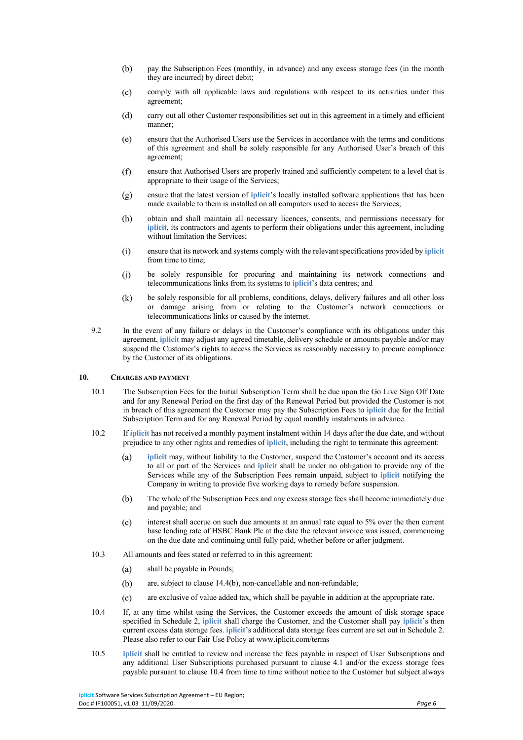- $(b)$ pay the Subscription Fees (monthly, in advance) and any excess storage fees (in the month they are incurred) by direct debit;
- $(c)$ comply with all applicable laws and regulations with respect to its activities under this agreement;
- $(d)$ carry out all other Customer responsibilities set out in this agreement in a timely and efficient manner;
- $(e)$ ensure that the Authorised Users use the Services in accordance with the terms and conditions of this agreement and shall be solely responsible for any Authorised User's breach of this agreement;
- $(f)$ ensure that Authorised Users are properly trained and sufficiently competent to a level that is appropriate to their usage of the Services;
- ensure that the latest version of **iplicit**'s locally installed software applications that has been  $(g)$ made available to them is installed on all computers used to access the Services;
- obtain and shall maintain all necessary licences, consents, and permissions necessary for  $(h)$ **iplicit**, its contractors and agents to perform their obligations under this agreement, including without limitation the Services;
- $(i)$ ensure that its network and systems comply with the relevant specifications provided by **iplicit** from time to time;
- $(i)$ be solely responsible for procuring and maintaining its network connections and telecommunications links from its systems to **iplicit**'s data centres; and
- $(k)$ be solely responsible for all problems, conditions, delays, delivery failures and all other loss or damage arising from or relating to the Customer's network connections or telecommunications links or caused by the internet.
- 9.2 In the event of any failure or delays in the Customer's compliance with its obligations under this agreement, **iplicit** may adjust any agreed timetable, delivery schedule or amounts payable and/or may suspend the Customer's rights to access the Services as reasonably necessary to procure compliance by the Customer of its obligations.

## **10. CHARGES AND PAYMENT**

- 10.1 The Subscription Fees for the Initial Subscription Term shall be due upon the Go Live Sign Off Date and for any Renewal Period on the first day of the Renewal Period but provided the Customer is not in breach of this agreement the Customer may pay the Subscription Fees to **iplicit** due for the Initial Subscription Term and for any Renewal Period by equal monthly instalments in advance.
- 10.2 If **iplicit** has not received a monthly payment instalment within 14 days after the due date, and without prejudice to any other rights and remedies of **iplicit**, including the right to terminate this agreement:
	- $(a)$ **iplicit** may, without liability to the Customer, suspend the Customer's account and its access to all or part of the Services and **iplicit** shall be under no obligation to provide any of the Services while any of the Subscription Fees remain unpaid, subject to **iplicit** notifying the Company in writing to provide five working days to remedy before suspension.
	- $(b)$ The whole of the Subscription Fees and any excess storage fees shall become immediately due and payable; and
	- $(c)$ interest shall accrue on such due amounts at an annual rate equal to 5% over the then current base lending rate of HSBC Bank Plc at the date the relevant invoice was issued, commencing on the due date and continuing until fully paid, whether before or after judgment.
- 10.3 All amounts and fees stated or referred to in this agreement:
	- shall be payable in Pounds;  $(a)$
	- $(b)$ are, subject to clause 14.4(b), non-cancellable and non-refundable;
	- $(c)$ are exclusive of value added tax, which shall be payable in addition at the appropriate rate.
- 10.4 If, at any time whilst using the Services, the Customer exceeds the amount of disk storage space specified in Schedule 2, **iplicit** shall charge the Customer, and the Customer shall pay **iplicit**'s then current excess data storage fees. **iplicit**'s additional data storage fees current are set out in Schedule 2. Please also refer to our Fair Use Policy at www.iplicit.com/terms
- 10.5 **iplicit** shall be entitled to review and increase the fees payable in respect of User Subscriptions and any additional User Subscriptions purchased pursuant to clause 4.1 and/or the excess storage fees payable pursuant to clause 10.4 from time to time without notice to the Customer but subject always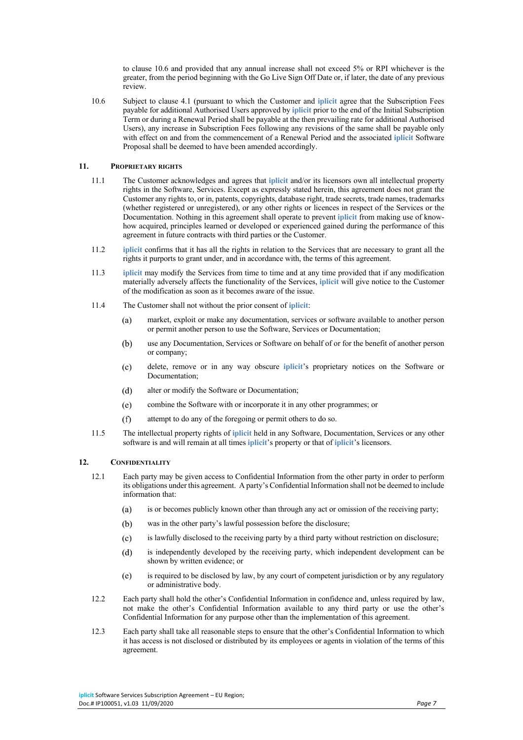to clause 10.6 and provided that any annual increase shall not exceed 5% or RPI whichever is the greater, from the period beginning with the Go Live Sign Off Date or, if later, the date of any previous review.

10.6 Subject to clause 4.1 (pursuant to which the Customer and **iplicit** agree that the Subscription Fees payable for additional Authorised Users approved by **iplicit** prior to the end of the Initial Subscription Term or during a Renewal Period shall be payable at the then prevailing rate for additional Authorised Users), any increase in Subscription Fees following any revisions of the same shall be payable only with effect on and from the commencement of a Renewal Period and the associated **iplicit** Software Proposal shall be deemed to have been amended accordingly.

# **11. PROPRIETARY RIGHTS**

- 11.1 The Customer acknowledges and agrees that **iplicit** and/or its licensors own all intellectual property rights in the Software, Services. Except as expressly stated herein, this agreement does not grant the Customer any rights to, or in, patents, copyrights, database right, trade secrets, trade names, trademarks (whether registered or unregistered), or any other rights or licences in respect of the Services or the Documentation. Nothing in this agreement shall operate to prevent **iplicit** from making use of knowhow acquired, principles learned or developed or experienced gained during the performance of this agreement in future contracts with third parties or the Customer.
- 11.2 **iplicit** confirms that it has all the rights in relation to the Services that are necessary to grant all the rights it purports to grant under, and in accordance with, the terms of this agreement.
- 11.3 **iplicit** may modify the Services from time to time and at any time provided that if any modification materially adversely affects the functionality of the Services, **iplicit** will give notice to the Customer of the modification as soon as it becomes aware of the issue.
- 11.4 The Customer shall not without the prior consent of **iplicit**:
	- $(a)$ market, exploit or make any documentation, services or software available to another person or permit another person to use the Software, Services or Documentation;
	- $(b)$ use any Documentation, Services or Software on behalf of or for the benefit of another person or company;
	- $(c)$ delete, remove or in any way obscure **iplicit**'s proprietary notices on the Software or Documentation;
	- $(d)$ alter or modify the Software or Documentation;
	- combine the Software with or incorporate it in any other programmes; or  $(e)$
	- $(f)$ attempt to do any of the foregoing or permit others to do so.
- 11.5 The intellectual property rights of **iplicit** held in any Software, Documentation, Services or any other software is and will remain at all times **iplicit**'s property or that of **iplicit**'s licensors.

#### **12. CONFIDENTIALITY**

- 12.1 Each party may be given access to Confidential Information from the other party in order to perform its obligations under this agreement. A party's Confidential Information shall not be deemed to include information that:
	- $(a)$ is or becomes publicly known other than through any act or omission of the receiving party;
	- $(b)$ was in the other party's lawful possession before the disclosure;
	- is lawfully disclosed to the receiving party by a third party without restriction on disclosure;  $(c)$
	- $(d)$ is independently developed by the receiving party, which independent development can be shown by written evidence; or
	- is required to be disclosed by law, by any court of competent jurisdiction or by any regulatory  $(e)$ or administrative body.
- 12.2 Each party shall hold the other's Confidential Information in confidence and, unless required by law, not make the other's Confidential Information available to any third party or use the other's Confidential Information for any purpose other than the implementation of this agreement.
- 12.3 Each party shall take all reasonable steps to ensure that the other's Confidential Information to which it has access is not disclosed or distributed by its employees or agents in violation of the terms of this agreement.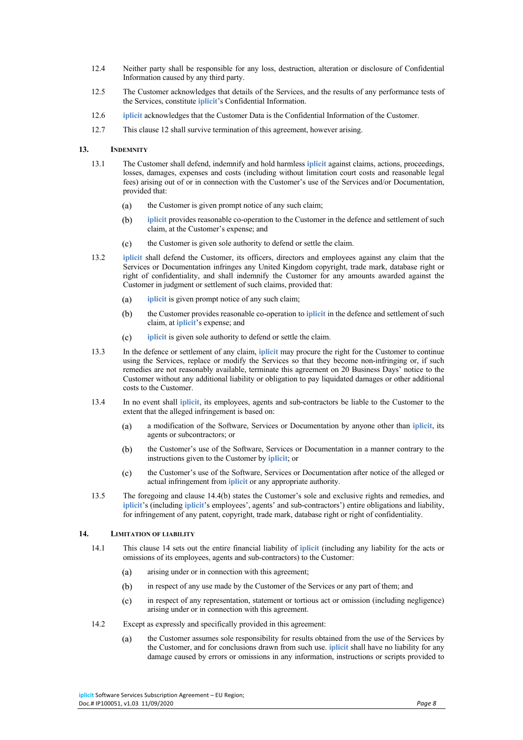- 12.4 Neither party shall be responsible for any loss, destruction, alteration or disclosure of Confidential Information caused by any third party.
- 12.5 The Customer acknowledges that details of the Services, and the results of any performance tests of the Services, constitute **iplicit**'s Confidential Information.
- 12.6 **iplicit** acknowledges that the Customer Data is the Confidential Information of the Customer.
- 12.7 This clause 12 shall survive termination of this agreement, however arising.

# **13. INDEMNITY**

- 13.1 The Customer shall defend, indemnify and hold harmless **iplicit** against claims, actions, proceedings, losses, damages, expenses and costs (including without limitation court costs and reasonable legal fees) arising out of or in connection with the Customer's use of the Services and/or Documentation, provided that:
	- $(a)$ the Customer is given prompt notice of any such claim;
	- $(b)$ **iplicit** provides reasonable co-operation to the Customer in the defence and settlement of such claim, at the Customer's expense; and
	- $(c)$ the Customer is given sole authority to defend or settle the claim.
- 13.2 **iplicit** shall defend the Customer, its officers, directors and employees against any claim that the Services or Documentation infringes any United Kingdom copyright, trade mark, database right or right of confidentiality, and shall indemnify the Customer for any amounts awarded against the Customer in judgment or settlement of such claims, provided that:
	- **iplicit** is given prompt notice of any such claim;  $(a)$
	- $(b)$ the Customer provides reasonable co-operation to **iplicit** in the defence and settlement of such claim, at **iplicit**'s expense; and
	- $(c)$ **iplicit** is given sole authority to defend or settle the claim.
- 13.3 In the defence or settlement of any claim, **iplicit** may procure the right for the Customer to continue using the Services, replace or modify the Services so that they become non-infringing or, if such remedies are not reasonably available, terminate this agreement on 20 Business Days' notice to the Customer without any additional liability or obligation to pay liquidated damages or other additional costs to the Customer.
- 13.4 In no event shall **iplicit**, its employees, agents and sub-contractors be liable to the Customer to the extent that the alleged infringement is based on:
	- $(a)$ a modification of the Software, Services or Documentation by anyone other than **iplicit**, its agents or subcontractors; or
	- $(b)$ the Customer's use of the Software, Services or Documentation in a manner contrary to the instructions given to the Customer by **iplicit**; or
	- $(c)$ the Customer's use of the Software, Services or Documentation after notice of the alleged or actual infringement from **iplicit** or any appropriate authority.
- 13.5 The foregoing and clause 14.4(b) states the Customer's sole and exclusive rights and remedies, and **iplicit**'s (including **iplicit**'s employees', agents' and sub-contractors') entire obligations and liability, for infringement of any patent, copyright, trade mark, database right or right of confidentiality.

# **14. LIMITATION OF LIABILITY**

- 14.1 This clause 14 sets out the entire financial liability of **iplicit** (including any liability for the acts or omissions of its employees, agents and sub-contractors) to the Customer:
	- arising under or in connection with this agreement;  $(a)$
	- in respect of any use made by the Customer of the Services or any part of them; and  $(b)$
	- $(c)$ in respect of any representation, statement or tortious act or omission (including negligence) arising under or in connection with this agreement.
- 14.2 Except as expressly and specifically provided in this agreement:
	- the Customer assumes sole responsibility for results obtained from the use of the Services by  $(a)$ the Customer, and for conclusions drawn from such use. **iplicit** shall have no liability for any damage caused by errors or omissions in any information, instructions or scripts provided to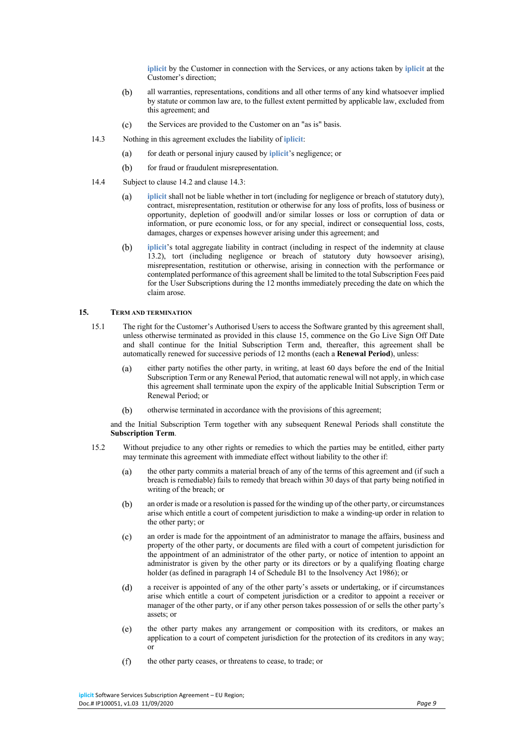**iplicit** by the Customer in connection with the Services, or any actions taken by **iplicit** at the Customer's direction;

- $(b)$ all warranties, representations, conditions and all other terms of any kind whatsoever implied by statute or common law are, to the fullest extent permitted by applicable law, excluded from this agreement; and
- $(c)$ the Services are provided to the Customer on an "as is" basis.
- 14.3 Nothing in this agreement excludes the liability of **iplicit**:
	- for death or personal injury caused by **iplicit**'s negligence; or  $(a)$
	- $(b)$ for fraud or fraudulent misrepresentation.
- 14.4 Subject to clause 14.2 and clause 14.3:
	- $(a)$ **iplicit** shall not be liable whether in tort (including for negligence or breach of statutory duty), contract, misrepresentation, restitution or otherwise for any loss of profits, loss of business or opportunity, depletion of goodwill and/or similar losses or loss or corruption of data or information, or pure economic loss, or for any special, indirect or consequential loss, costs, damages, charges or expenses however arising under this agreement; and
	- $(h)$ **iplicit**'s total aggregate liability in contract (including in respect of the indemnity at clause 13.2), tort (including negligence or breach of statutory duty howsoever arising), misrepresentation, restitution or otherwise, arising in connection with the performance or contemplated performance of this agreement shall be limited to the total Subscription Fees paid for the User Subscriptions during the 12 months immediately preceding the date on which the claim arose.

# **15. TERM AND TERMINATION**

- 15.1 The right for the Customer's Authorised Users to access the Software granted by this agreement shall, unless otherwise terminated as provided in this clause 15, commence on the Go Live Sign Off Date and shall continue for the Initial Subscription Term and, thereafter, this agreement shall be automatically renewed for successive periods of 12 months (each a **Renewal Period**), unless:
	- either party notifies the other party, in writing, at least 60 days before the end of the Initial  $(a)$ Subscription Term or any Renewal Period, that automatic renewal will not apply, in which case this agreement shall terminate upon the expiry of the applicable Initial Subscription Term or Renewal Period; or
	- $(b)$ otherwise terminated in accordance with the provisions of this agreement;

and the Initial Subscription Term together with any subsequent Renewal Periods shall constitute the **Subscription Term**.

- 15.2 Without prejudice to any other rights or remedies to which the parties may be entitled, either party may terminate this agreement with immediate effect without liability to the other if:
	- $(a)$ the other party commits a material breach of any of the terms of this agreement and (if such a breach is remediable) fails to remedy that breach within 30 days of that party being notified in writing of the breach; or
	- an order is made or a resolution is passed for the winding up of the other party, or circumstances  $(b)$ arise which entitle a court of competent jurisdiction to make a winding-up order in relation to the other party; or
	- $(c)$ an order is made for the appointment of an administrator to manage the affairs, business and property of the other party, or documents are filed with a court of competent jurisdiction for the appointment of an administrator of the other party, or notice of intention to appoint an administrator is given by the other party or its directors or by a qualifying floating charge holder (as defined in paragraph 14 of Schedule B1 to the Insolvency Act 1986); or
	- $(d)$ a receiver is appointed of any of the other party's assets or undertaking, or if circumstances arise which entitle a court of competent jurisdiction or a creditor to appoint a receiver or manager of the other party, or if any other person takes possession of or sells the other party's assets; or
	- $(e)$ the other party makes any arrangement or composition with its creditors, or makes an application to a court of competent jurisdiction for the protection of its creditors in any way; or
	- the other party ceases, or threatens to cease, to trade; or $(f)$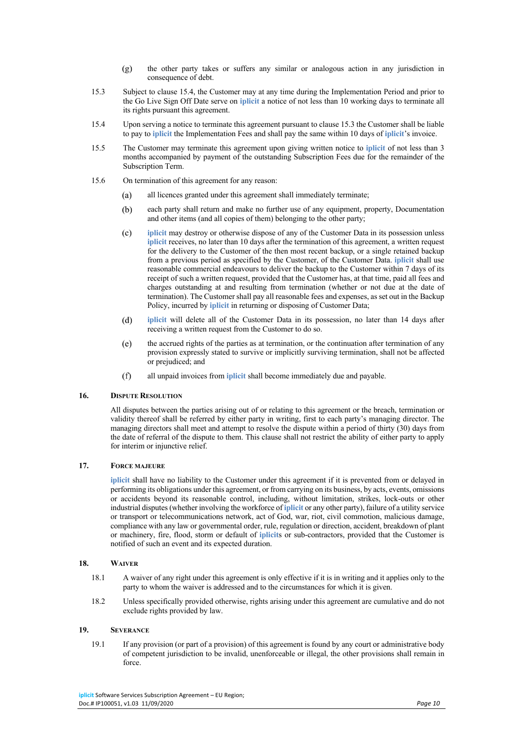- $(g)$ the other party takes or suffers any similar or analogous action in any jurisdiction in consequence of debt.
- 15.3 Subject to clause 15.4, the Customer may at any time during the Implementation Period and prior to the Go Live Sign Off Date serve on **iplicit** a notice of not less than 10 working days to terminate all its rights pursuant this agreement.
- 15.4 Upon serving a notice to terminate this agreement pursuant to clause 15.3 the Customer shall be liable to pay to **iplicit** the Implementation Fees and shall pay the same within 10 days of **iplicit**'s invoice.
- 15.5 The Customer may terminate this agreement upon giving written notice to **iplicit** of not less than 3 months accompanied by payment of the outstanding Subscription Fees due for the remainder of the Subscription Term.
- 15.6 On termination of this agreement for any reason:
	- $(a)$ all licences granted under this agreement shall immediately terminate;
	- each party shall return and make no further use of any equipment, property, Documentation  $(b)$ and other items (and all copies of them) belonging to the other party;
	- $(c)$ **iplicit** may destroy or otherwise dispose of any of the Customer Data in its possession unless **iplicit** receives, no later than 10 days after the termination of this agreement, a written request for the delivery to the Customer of the then most recent backup, or a single retained backup from a previous period as specified by the Customer, of the Customer Data. **iplicit** shall use reasonable commercial endeavours to deliver the backup to the Customer within 7 days of its receipt of such a written request, provided that the Customer has, at that time, paid all fees and charges outstanding at and resulting from termination (whether or not due at the date of termination). The Customer shall pay all reasonable fees and expenses, as set out in the Backup Policy, incurred by **iplicit** in returning or disposing of Customer Data;
	- $(d)$ **iplicit** will delete all of the Customer Data in its possession, no later than 14 days after receiving a written request from the Customer to do so.
	- $(e)$ the accrued rights of the parties as at termination, or the continuation after termination of any provision expressly stated to survive or implicitly surviving termination, shall not be affected or prejudiced; and
	- $(f)$ all unpaid invoices from **iplicit** shall become immediately due and payable.

# **16. DISPUTE RESOLUTION**

All disputes between the parties arising out of or relating to this agreement or the breach, termination or validity thereof shall be referred by either party in writing, first to each party's managing director. The managing directors shall meet and attempt to resolve the dispute within a period of thirty (30) days from the date of referral of the dispute to them. This clause shall not restrict the ability of either party to apply for interim or injunctive relief.

# **17. FORCE MAJEURE**

**iplicit** shall have no liability to the Customer under this agreement if it is prevented from or delayed in performing its obligations under this agreement, or from carrying on its business, by acts, events, omissions or accidents beyond its reasonable control, including, without limitation, strikes, lock-outs or other industrial disputes (whether involving the workforce of **iplicit** or any other party), failure of a utility service or transport or telecommunications network, act of God, war, riot, civil commotion, malicious damage, compliance with any law or governmental order, rule, regulation or direction, accident, breakdown of plant or machinery, fire, flood, storm or default of **iplicit**s or sub-contractors, provided that the Customer is notified of such an event and its expected duration.

# **18. WAIVER**

- 18.1 A waiver of any right under this agreement is only effective if it is in writing and it applies only to the party to whom the waiver is addressed and to the circumstances for which it is given.
- 18.2 Unless specifically provided otherwise, rights arising under this agreement are cumulative and do not exclude rights provided by law.

## **19. SEVERANCE**

19.1 If any provision (or part of a provision) of this agreement is found by any court or administrative body of competent jurisdiction to be invalid, unenforceable or illegal, the other provisions shall remain in force.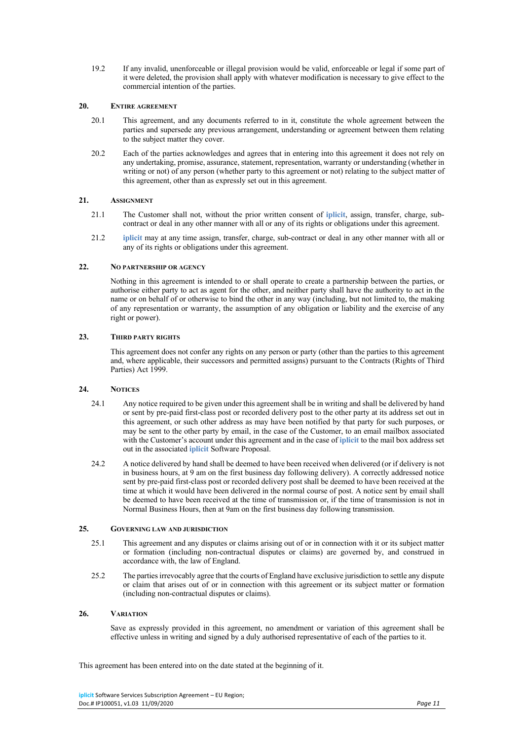19.2 If any invalid, unenforceable or illegal provision would be valid, enforceable or legal if some part of it were deleted, the provision shall apply with whatever modification is necessary to give effect to the commercial intention of the parties.

# **20. ENTIRE AGREEMENT**

- 20.1 This agreement, and any documents referred to in it, constitute the whole agreement between the parties and supersede any previous arrangement, understanding or agreement between them relating to the subject matter they cover.
- 20.2 Each of the parties acknowledges and agrees that in entering into this agreement it does not rely on any undertaking, promise, assurance, statement, representation, warranty or understanding (whether in writing or not) of any person (whether party to this agreement or not) relating to the subject matter of this agreement, other than as expressly set out in this agreement.

# **21. ASSIGNMENT**

- 21.1 The Customer shall not, without the prior written consent of **iplicit**, assign, transfer, charge, subcontract or deal in any other manner with all or any of its rights or obligations under this agreement.
- 21.2 **iplicit** may at any time assign, transfer, charge, sub-contract or deal in any other manner with all or any of its rights or obligations under this agreement.

# **22. NO PARTNERSHIP OR AGENCY**

Nothing in this agreement is intended to or shall operate to create a partnership between the parties, or authorise either party to act as agent for the other, and neither party shall have the authority to act in the name or on behalf of or otherwise to bind the other in any way (including, but not limited to, the making of any representation or warranty, the assumption of any obligation or liability and the exercise of any right or power).

# **23. THIRD PARTY RIGHTS**

This agreement does not confer any rights on any person or party (other than the parties to this agreement and, where applicable, their successors and permitted assigns) pursuant to the Contracts (Rights of Third Parties) Act 1999.

# **24. NOTICES**

- 24.1 Any notice required to be given under this agreement shall be in writing and shall be delivered by hand or sent by pre-paid first-class post or recorded delivery post to the other party at its address set out in this agreement, or such other address as may have been notified by that party for such purposes, or may be sent to the other party by email, in the case of the Customer, to an email mailbox associated with the Customer's account under this agreement and in the case of **iplicit** to the mail box address set out in the associated **iplicit** Software Proposal.
- 24.2 A notice delivered by hand shall be deemed to have been received when delivered (or if delivery is not in business hours, at 9 am on the first business day following delivery). A correctly addressed notice sent by pre-paid first-class post or recorded delivery post shall be deemed to have been received at the time at which it would have been delivered in the normal course of post. A notice sent by email shall be deemed to have been received at the time of transmission or, if the time of transmission is not in Normal Business Hours, then at 9am on the first business day following transmission.

# **25. GOVERNING LAW AND JURISDICTION**

- 25.1 This agreement and any disputes or claims arising out of or in connection with it or its subject matter or formation (including non-contractual disputes or claims) are governed by, and construed in accordance with, the law of England.
- 25.2 The parties irrevocably agree that the courts of England have exclusive jurisdiction to settle any dispute or claim that arises out of or in connection with this agreement or its subject matter or formation (including non-contractual disputes or claims).

# **26. VARIATION**

Save as expressly provided in this agreement, no amendment or variation of this agreement shall be effective unless in writing and signed by a duly authorised representative of each of the parties to it.

This agreement has been entered into on the date stated at the beginning of it.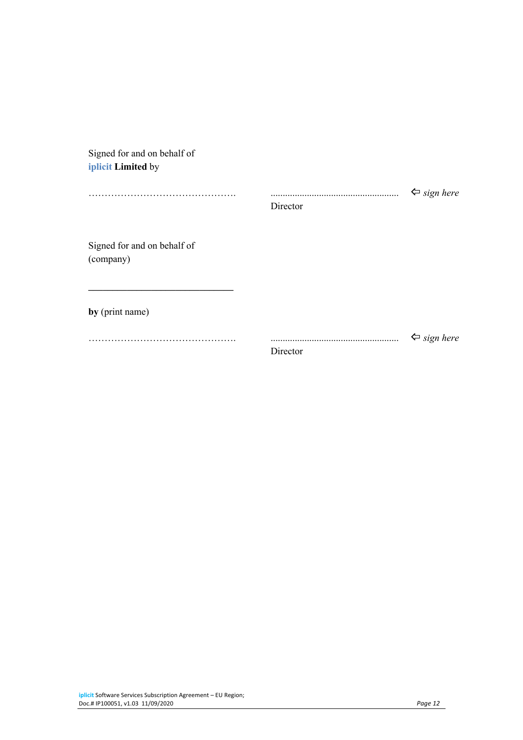| Signed for and on behalf of              |          |                             |
|------------------------------------------|----------|-----------------------------|
| iplicit Limited by                       |          |                             |
|                                          | Director | $\Leftrightarrow$ sign here |
| Signed for and on behalf of<br>(company) |          |                             |
| by (print name)                          |          |                             |
|                                          | Director | $\Leftrightarrow$ sign here |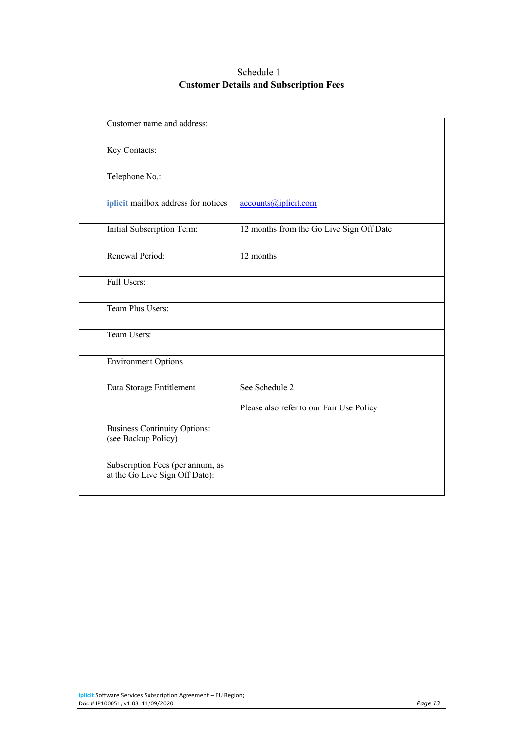# Schedule 1 **Customer Details and Subscription Fees**

| Customer name and address:                                         |                                                            |
|--------------------------------------------------------------------|------------------------------------------------------------|
| Key Contacts:                                                      |                                                            |
| Telephone No.:                                                     |                                                            |
| iplicit mailbox address for notices                                | accounts@iplicit.com                                       |
| Initial Subscription Term:                                         | 12 months from the Go Live Sign Off Date                   |
| Renewal Period:                                                    | 12 months                                                  |
| Full Users:                                                        |                                                            |
| Team Plus Users:                                                   |                                                            |
| Team Users:                                                        |                                                            |
| <b>Environment Options</b>                                         |                                                            |
| Data Storage Entitlement                                           | See Schedule 2<br>Please also refer to our Fair Use Policy |
| <b>Business Continuity Options:</b><br>(see Backup Policy)         |                                                            |
| Subscription Fees (per annum, as<br>at the Go Live Sign Off Date): |                                                            |